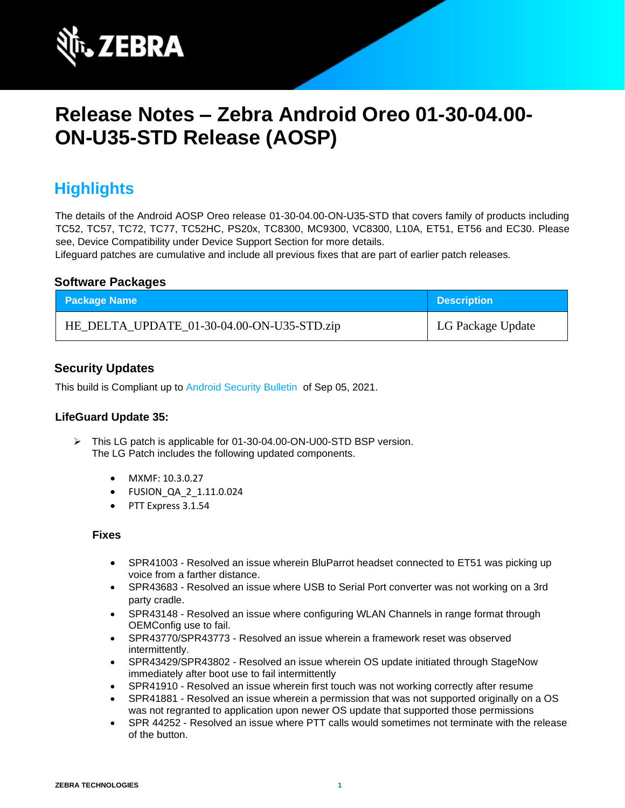

# **Release Notes – Zebra Android Oreo 01-30-04.00- ON-U35-STD Release (AOSP)**

## **Highlights**

The details of the Android AOSP Oreo release 01-30-04.00-ON-U35-STD that covers family of products including TC52, TC57, TC72, TC77, TC52HC, PS20x, TC8300, MC9300, VC8300, L10A, ET51, ET56 and EC30. Please see, Device Compatibility under Device Support Section for more details.

Lifeguard patches are cumulative and include all previous fixes that are part of earlier patch releases.

#### **Software Packages**

| <b>Package Name</b>                        | <b>Description</b> |
|--------------------------------------------|--------------------|
| HE_DELTA_UPDATE_01-30-04.00-ON-U35-STD.zip | LG Package Update  |

### **Security Updates**

This build is Compliant up to [Android Security Bulletin](https://source.android.com/security/bulletin/) of Sep 05, 2021.

#### **LifeGuard Update 35:**

- ➢ This LG patch is applicable for 01-30-04.00-ON-U00-STD BSP version. The LG Patch includes the following updated components.
	- MXMF: 10.3.0.27
	- FUSION\_QA\_2\_1.11.0.024
	- PTT Express 3.1.54

- SPR41003 Resolved an issue wherein BluParrot headset connected to ET51 was picking up voice from a farther distance.
- SPR43683 Resolved an issue where USB to Serial Port converter was not working on a 3rd party cradle.
- SPR43148 Resolved an issue where configuring WLAN Channels in range format through OEMConfig use to fail.
- SPR43770/SPR43773 Resolved an issue wherein a framework reset was observed intermittently.
- SPR43429/SPR43802 Resolved an issue wherein OS update initiated through StageNow immediately after boot use to fail intermittently
- SPR41910 Resolved an issue wherein first touch was not working correctly after resume
- SPR41881 Resolved an issue wherein a permission that was not supported originally on a OS was not regranted to application upon newer OS update that supported those permissions
- SPR 44252 Resolved an issue where PTT calls would sometimes not terminate with the release of the button.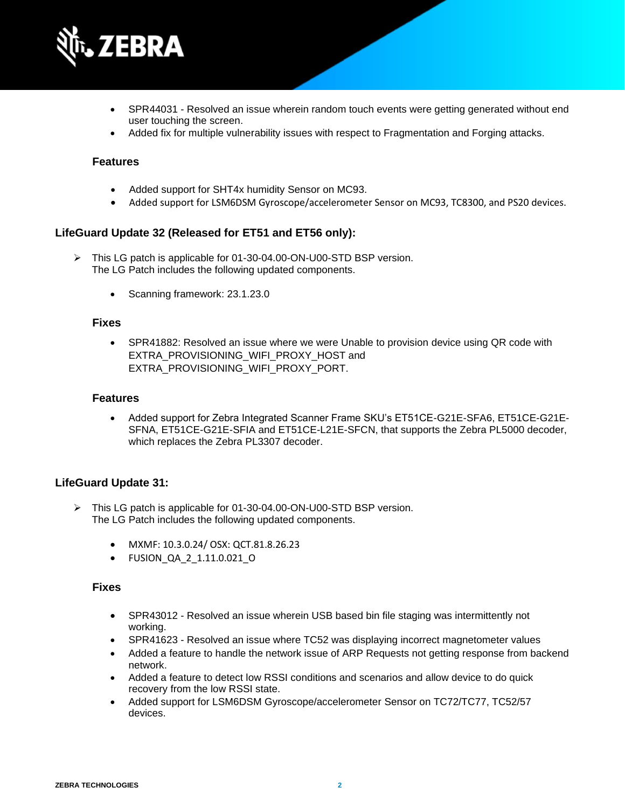

- SPR44031 Resolved an issue wherein random touch events were getting generated without end user touching the screen.
- Added fix for multiple vulnerability issues with respect to Fragmentation and Forging attacks.

- Added support for SHT4x humidity Sensor on MC93.
- Added support for LSM6DSM Gyroscope/accelerometer Sensor on MC93, TC8300, and PS20 devices.

#### **LifeGuard Update 32 (Released for ET51 and ET56 only):**

- ➢ This LG patch is applicable for 01-30-04.00-ON-U00-STD BSP version. The LG Patch includes the following updated components.
	- Scanning framework: 23.1.23.0

#### **Fixes**

• SPR41882: Resolved an issue where we were Unable to provision device using QR code with EXTRA\_PROVISIONING\_WIFI\_PROXY\_HOST and EXTRA\_PROVISIONING\_WIFI\_PROXY\_PORT.

#### **Features**

• Added support for Zebra Integrated Scanner Frame SKU's ET51CE-G21E-SFA6, ET51CE-G21E-SFNA, ET51CE-G21E-SFIA and ET51CE-L21E-SFCN, that supports the Zebra PL5000 decoder, which replaces the Zebra PL3307 decoder.

#### **LifeGuard Update 31:**

- ➢ This LG patch is applicable for 01-30-04.00-ON-U00-STD BSP version. The LG Patch includes the following updated components.
	- MXMF: 10.3.0.24/ OSX: QCT.81.8.26.23
	- FUSION\_QA\_2\_1.11.0.021\_O

- SPR43012 Resolved an issue wherein USB based bin file staging was intermittently not working.
- SPR41623 Resolved an issue where TC52 was displaying incorrect magnetometer values
- Added a feature to handle the network issue of ARP Requests not getting response from backend network.
- Added a feature to detect low RSSI conditions and scenarios and allow device to do quick recovery from the low RSSI state.
- Added support for LSM6DSM Gyroscope/accelerometer Sensor on TC72/TC77, TC52/57 devices.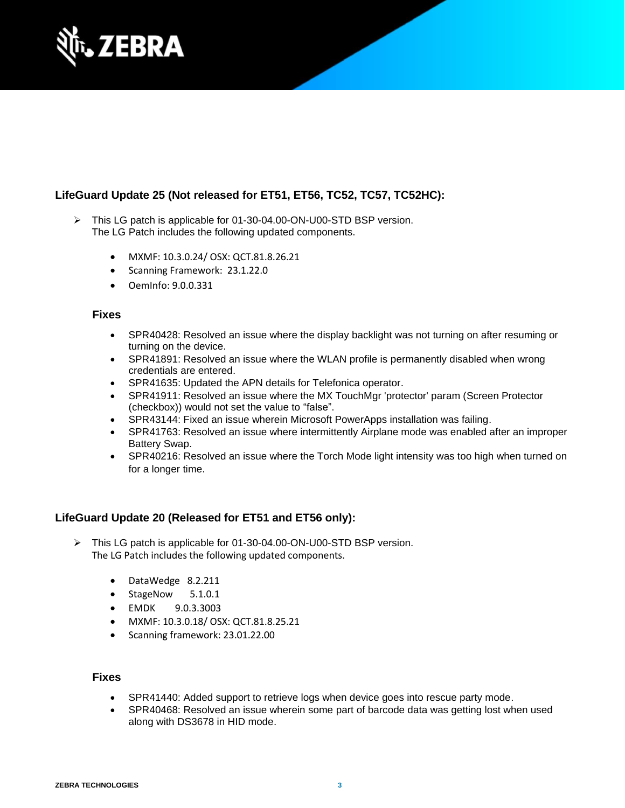

## **LifeGuard Update 25 (Not released for ET51, ET56, TC52, TC57, TC52HC):**

- ➢ This LG patch is applicable for 01-30-04.00-ON-U00-STD BSP version. The LG Patch includes the following updated components.
	- MXMF: 10.3.0.24/ OSX: QCT.81.8.26.21
	- Scanning Framework: 23.1.22.0
	- OemInfo: 9.0.0.331

#### **Fixes**

- SPR40428: Resolved an issue where the display backlight was not turning on after resuming or turning on the device.
- SPR41891: Resolved an issue where the WLAN profile is permanently disabled when wrong credentials are entered.
- SPR41635: Updated the APN details for Telefonica operator.
- SPR41911: Resolved an issue where the MX TouchMgr 'protector' param (Screen Protector (checkbox)) would not set the value to "false".
- SPR43144: Fixed an issue wherein Microsoft PowerApps installation was failing.
- SPR41763: Resolved an issue where intermittently Airplane mode was enabled after an improper Battery Swap.
- SPR40216: Resolved an issue where the Torch Mode light intensity was too high when turned on for a longer time.

#### **LifeGuard Update 20 (Released for ET51 and ET56 only):**

- ➢ This LG patch is applicable for 01-30-04.00-ON-U00-STD BSP version. The LG Patch includes the following updated components.
	- DataWedge 8.2.211
	- StageNow 5.1.0.1
	- EMDK 9.0.3.3003
	- MXMF: 10.3.0.18/ OSX: QCT.81.8.25.21
	- Scanning framework: 23.01.22.00

- SPR41440: Added support to retrieve logs when device goes into rescue party mode.
- SPR40468: Resolved an issue wherein some part of barcode data was getting lost when used along with DS3678 in HID mode.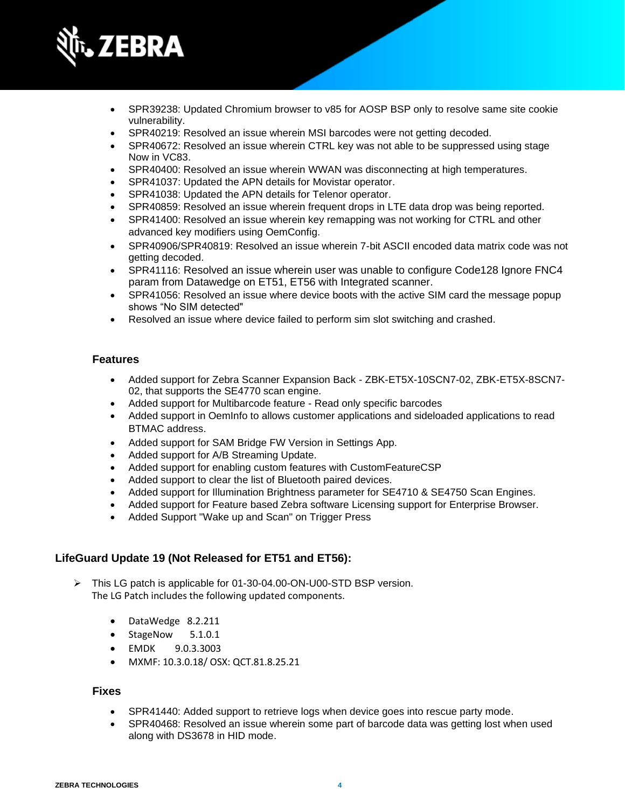

- SPR39238: Updated Chromium browser to v85 for AOSP BSP only to resolve same site cookie vulnerability.
- SPR40219: Resolved an issue wherein MSI barcodes were not getting decoded.
- SPR40672: Resolved an issue wherein CTRL key was not able to be suppressed using stage Now in VC83.
- SPR40400: Resolved an issue wherein WWAN was disconnecting at high temperatures.
- SPR41037: Updated the APN details for Movistar operator.
- SPR41038: Updated the APN details for Telenor operator.
- SPR40859: Resolved an issue wherein frequent drops in LTE data drop was being reported.
- SPR41400: Resolved an issue wherein key remapping was not working for CTRL and other advanced key modifiers using OemConfig.
- SPR40906/SPR40819: Resolved an issue wherein 7-bit ASCII encoded data matrix code was not getting decoded.
- SPR41116: Resolved an issue wherein user was unable to configure Code128 Ignore FNC4 param from Datawedge on ET51, ET56 with Integrated scanner.
- SPR41056: Resolved an issue where device boots with the active SIM card the message popup shows "No SIM detected"
- Resolved an issue where device failed to perform sim slot switching and crashed.

- Added support for Zebra Scanner Expansion Back ZBK-ET5X-10SCN7-02, ZBK-ET5X-8SCN7- 02, that supports the SE4770 scan engine.
- Added support for Multibarcode feature Read only specific barcodes
- Added support in OemInfo to allows customer applications and sideloaded applications to read BTMAC address.
- Added support for SAM Bridge FW Version in Settings App.
- Added support for A/B Streaming Update.
- Added support for enabling custom features with CustomFeatureCSP
- Added support to clear the list of Bluetooth paired devices.
- Added support for Illumination Brightness parameter for SE4710 & SE4750 Scan Engines.
- Added support for Feature based Zebra software Licensing support for Enterprise Browser.
- Added Support "Wake up and Scan" on Trigger Press

#### **LifeGuard Update 19 (Not Released for ET51 and ET56):**

- ➢ This LG patch is applicable for 01-30-04.00-ON-U00-STD BSP version. The LG Patch includes the following updated components.
	- DataWedge 8.2.211
	- StageNow 5.1.0.1
	- EMDK 9.0.3.3003
	- MXMF: 10.3.0.18/ OSX: QCT.81.8.25.21

- SPR41440: Added support to retrieve logs when device goes into rescue party mode.
- SPR40468: Resolved an issue wherein some part of barcode data was getting lost when used along with DS3678 in HID mode.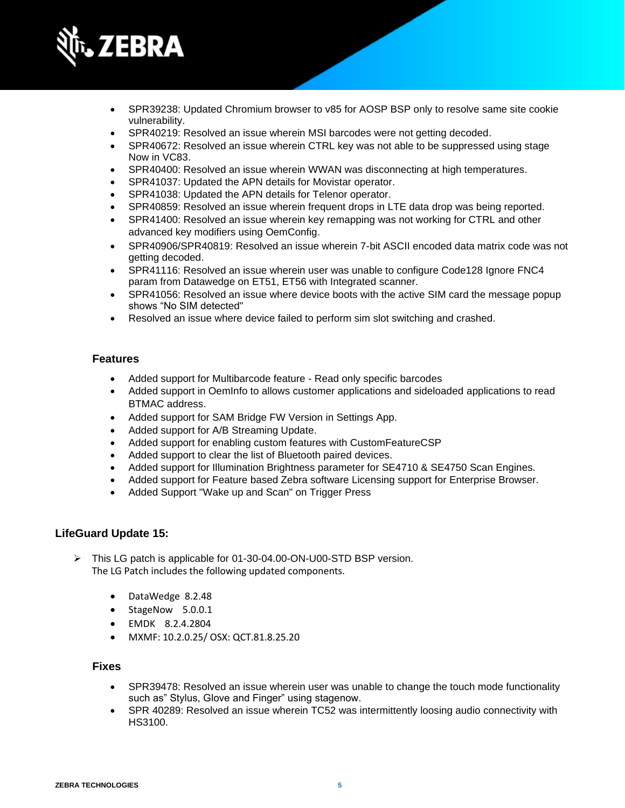

- SPR39238: Updated Chromium browser to v85 for AOSP BSP only to resolve same site cookie vulnerability.
- SPR40219: Resolved an issue wherein MSI barcodes were not getting decoded.
- SPR40672: Resolved an issue wherein CTRL key was not able to be suppressed using stage Now in VC83.
- SPR40400: Resolved an issue wherein WWAN was disconnecting at high temperatures.
- SPR41037: Updated the APN details for Movistar operator.
- SPR41038: Updated the APN details for Telenor operator.
- SPR40859: Resolved an issue wherein frequent drops in LTE data drop was being reported.
- SPR41400: Resolved an issue wherein key remapping was not working for CTRL and other advanced key modifiers using OemConfig.
- SPR40906/SPR40819: Resolved an issue wherein 7-bit ASCII encoded data matrix code was not getting decoded.
- SPR41116: Resolved an issue wherein user was unable to configure Code128 Ignore FNC4 param from Datawedge on ET51, ET56 with Integrated scanner.
- SPR41056: Resolved an issue where device boots with the active SIM card the message popup shows "No SIM detected"
- Resolved an issue where device failed to perform sim slot switching and crashed.

- Added support for Multibarcode feature Read only specific barcodes
- Added support in OemInfo to allows customer applications and sideloaded applications to read BTMAC address.
- Added support for SAM Bridge FW Version in Settings App.
- Added support for A/B Streaming Update.
- Added support for enabling custom features with CustomFeatureCSP
- Added support to clear the list of Bluetooth paired devices.
- Added support for Illumination Brightness parameter for SE4710 & SE4750 Scan Engines.
- Added support for Feature based Zebra software Licensing support for Enterprise Browser.
- Added Support "Wake up and Scan" on Trigger Press

#### **LifeGuard Update 15:**

- ➢ This LG patch is applicable for 01-30-04.00-ON-U00-STD BSP version. The LG Patch includes the following updated components.
	- DataWedge 8.2.48
	- StageNow 5.0.0.1
	- EMDK 8.2.4.2804
	- MXMF: 10.2.0.25/ OSX: QCT.81.8.25.20

- SPR39478: Resolved an issue wherein user was unable to change the touch mode functionality such as" Stylus, Glove and Finger" using stagenow.
- SPR 40289: Resolved an issue wherein TC52 was intermittently loosing audio connectivity with HS3100.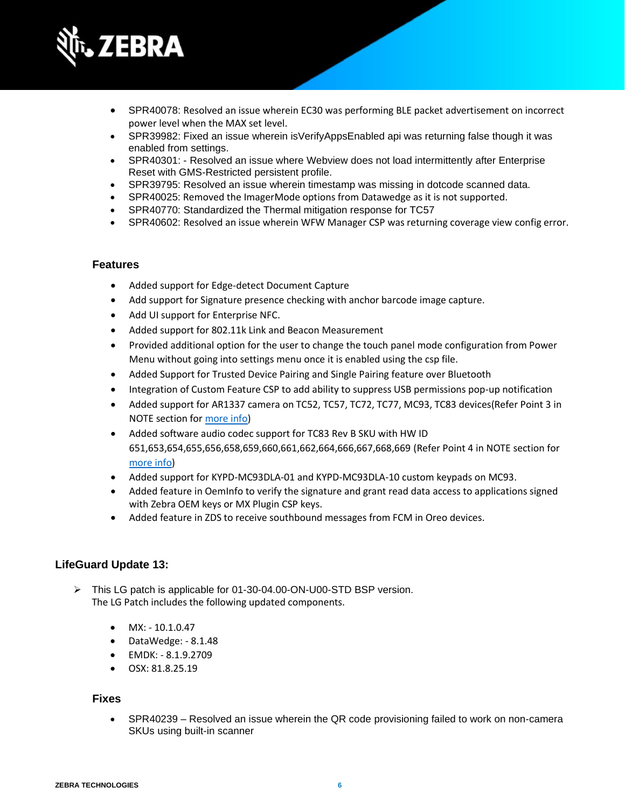

- SPR40078: Resolved an issue wherein EC30 was performing BLE packet advertisement on incorrect power level when the MAX set level.
- SPR39982: Fixed an issue wherein isVerifyAppsEnabled api was returning false though it was enabled from settings.
- SPR40301: Resolved an issue where Webview does not load intermittently after Enterprise Reset with GMS-Restricted persistent profile.
- SPR39795: Resolved an issue wherein timestamp was missing in dotcode scanned data.
- SPR40025: Removed the ImagerMode options from Datawedge as it is not supported.
- SPR40770: Standardized the Thermal mitigation response for TC57
- SPR40602: Resolved an issue wherein WFW Manager CSP was returning coverage view config error.

- Added support for Edge-detect Document Capture
- Add support for Signature presence checking with anchor barcode image capture.
- Add UI support for Enterprise NFC.
- Added support for 802.11k Link and Beacon Measurement
- Provided additional option for the user to change the touch panel mode configuration from Power Menu without going into settings menu once it is enabled using the csp file.
- Added Support for Trusted Device Pairing and Single Pairing feature over Bluetooth
- Integration of Custom Feature CSP to add ability to suppress USB permissions pop-up notification
- Added support for AR1337 camera on TC52, TC57, TC72, TC77, MC93, TC83 devices(Refer Point 3 in NOTE section for [more info\)](#page-10-0)
- Added software audio codec support for TC83 Rev B SKU with HW ID 651,653,654,655,656,658,659,660,661,662,664,666,667,668,669 (Refer Point 4 in NOTE section for [more info\)](#page-10-0)
- Added support for KYPD-MC93DLA-01 and KYPD-MC93DLA-10 custom keypads on MC93.
- Added feature in OemInfo to verify the signature and grant read data access to applications signed with Zebra OEM keys or MX Plugin CSP keys.
- Added feature in ZDS to receive southbound messages from FCM in Oreo devices.

#### **LifeGuard Update 13:**

- ➢ This LG patch is applicable for 01-30-04.00-ON-U00-STD BSP version. The LG Patch includes the following updated components.
	- MX: 10.1.0.47
	- DataWedge: 8.1.48
	- EMDK: 8.1.9.2709
	- OSX: 81.8.25.19

#### **Fixes**

• SPR40239 – Resolved an issue wherein the QR code provisioning failed to work on non-camera SKUs using built-in scanner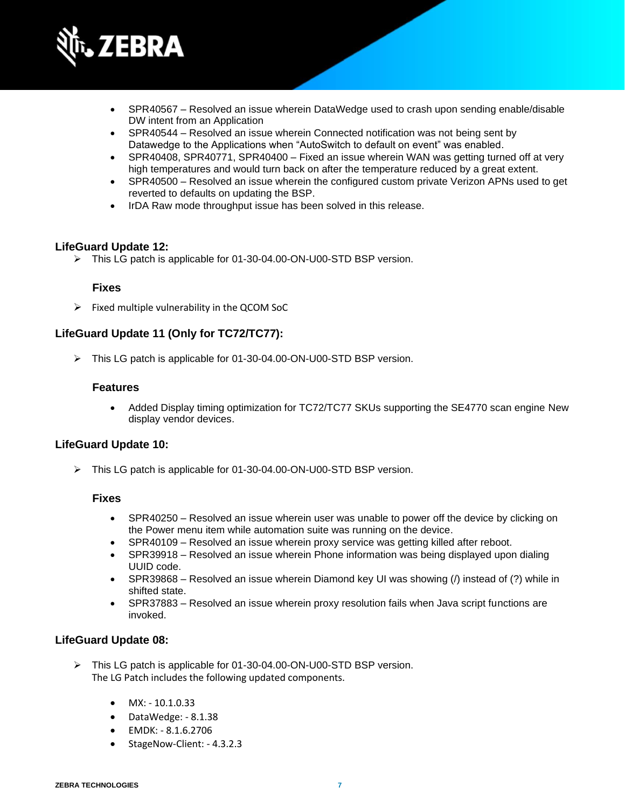

- SPR40567 Resolved an issue wherein DataWedge used to crash upon sending enable/disable DW intent from an Application
- SPR40544 Resolved an issue wherein Connected notification was not being sent by Datawedge to the Applications when "AutoSwitch to default on event" was enabled.
- SPR40408, SPR40771, SPR40400 Fixed an issue wherein WAN was getting turned off at very high temperatures and would turn back on after the temperature reduced by a great extent.
- SPR40500 Resolved an issue wherein the configured custom private Verizon APNs used to get reverted to defaults on updating the BSP.
- IrDA Raw mode throughput issue has been solved in this release.

#### **LifeGuard Update 12:**

➢ This LG patch is applicable for 01-30-04.00-ON-U00-STD BSP version.

#### **Fixes**

 $\triangleright$  Fixed multiple vulnerability in the QCOM SoC

#### **LifeGuard Update 11 (Only for TC72/TC77):**

➢ This LG patch is applicable for 01-30-04.00-ON-U00-STD BSP version.

#### **Features**

• Added Display timing optimization for TC72/TC77 SKUs supporting the SE4770 scan engine New display vendor devices.

#### **LifeGuard Update 10:**

➢ This LG patch is applicable for 01-30-04.00-ON-U00-STD BSP version.

#### **Fixes**

- SPR40250 Resolved an issue wherein user was unable to power off the device by clicking on the Power menu item while automation suite was running on the device.
- SPR40109 Resolved an issue wherein proxy service was getting killed after reboot.
- SPR39918 Resolved an issue wherein Phone information was being displayed upon dialing UUID code.
- SPR39868 Resolved an issue wherein Diamond key UI was showing (*/*) instead of (?) while in shifted state.
- SPR37883 Resolved an issue wherein proxy resolution fails when Java script functions are invoked.

#### **LifeGuard Update 08:**

- ➢ This LG patch is applicable for 01-30-04.00-ON-U00-STD BSP version. The LG Patch includes the following updated components.
	- $MX: -10.1.0.33$
	- DataWedge: 8.1.38
	- EMDK: 8.1.6.2706
	- StageNow-Client: 4.3.2.3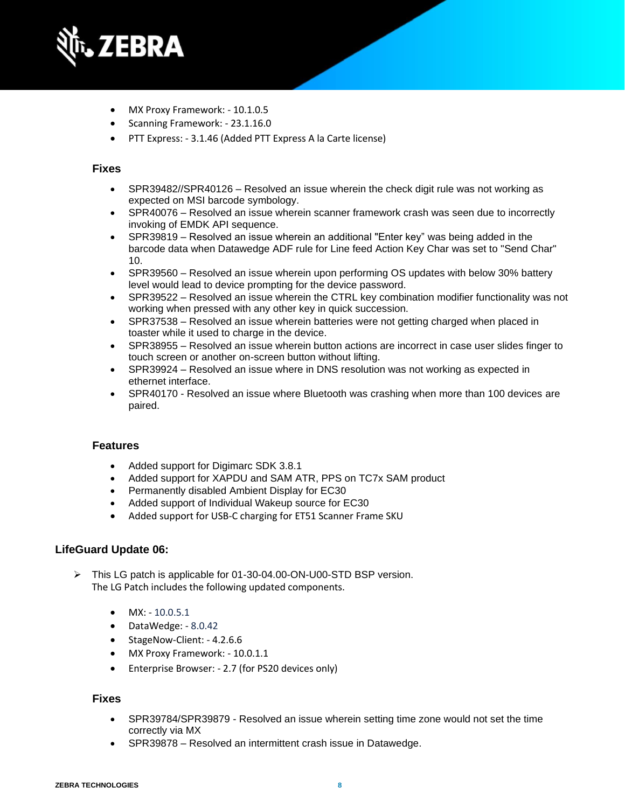

- MX Proxy Framework: 10.1.0.5
- Scanning Framework: 23.1.16.0
- PTT Express: 3.1.46 (Added PTT Express A la Carte license)

### **Fixes**

- SPR39482//SPR40126 Resolved an issue wherein the check digit rule was not working as expected on MSI barcode symbology.
- SPR40076 Resolved an issue wherein scanner framework crash was seen due to incorrectly invoking of EMDK API sequence.
- SPR39819 Resolved an issue wherein an additional "Enter key" was being added in the barcode data when Datawedge ADF rule for Line feed Action Key Char was set to "Send Char" 10.
- SPR39560 Resolved an issue wherein upon performing OS updates with below 30% battery level would lead to device prompting for the device password.
- SPR39522 Resolved an issue wherein the CTRL key combination modifier functionality was not working when pressed with any other key in quick succession.
- SPR37538 Resolved an issue wherein batteries were not getting charged when placed in toaster while it used to charge in the device.
- SPR38955 Resolved an issue wherein button actions are incorrect in case user slides finger to touch screen or another on-screen button without lifting.
- SPR39924 Resolved an issue where in DNS resolution was not working as expected in ethernet interface.
- SPR40170 Resolved an issue where Bluetooth was crashing when more than 100 devices are paired.

#### **Features**

- Added support for Digimarc SDK 3.8.1
- Added support for XAPDU and SAM ATR, PPS on TC7x SAM product
- Permanently disabled Ambient Display for EC30
- Added support of Individual Wakeup source for EC30
- Added support for USB-C charging for ET51 Scanner Frame SKU

#### **LifeGuard Update 06:**

- ➢ This LG patch is applicable for 01-30-04.00-ON-U00-STD BSP version. The LG Patch includes the following updated components.
	- $MX: -10.0.5.1$
	- DataWedge: 8.0.42
	- StageNow-Client: 4.2.6.6
	- MX Proxy Framework: 10.0.1.1
	- Enterprise Browser: 2.7 (for PS20 devices only)

- SPR39784/SPR39879 Resolved an issue wherein setting time zone would not set the time correctly via MX
- SPR39878 Resolved an intermittent crash issue in Datawedge.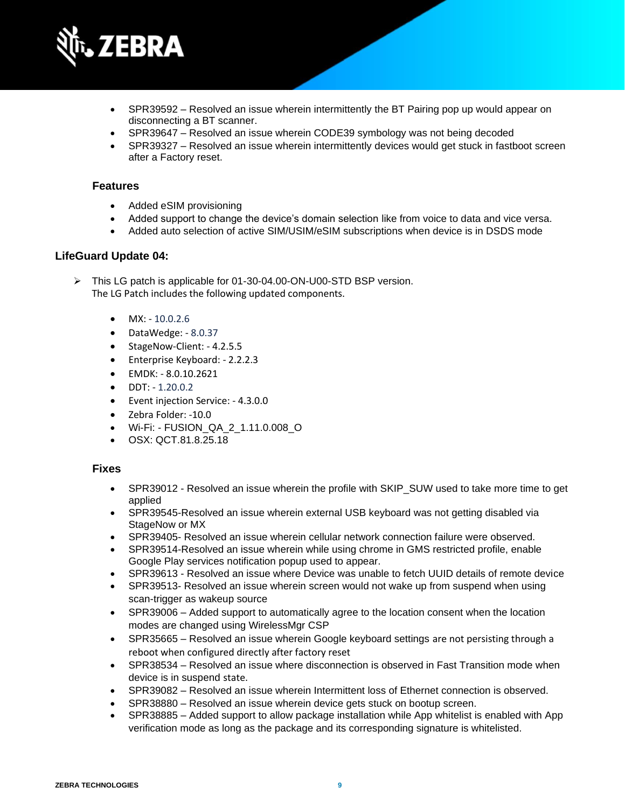

- SPR39592 Resolved an issue wherein intermittently the BT Pairing pop up would appear on disconnecting a BT scanner.
- SPR39647 Resolved an issue wherein CODE39 symbology was not being decoded
- SPR39327 Resolved an issue wherein intermittently devices would get stuck in fastboot screen after a Factory reset.

- Added eSIM provisioning
- Added support to change the device's domain selection like from voice to data and vice versa.
- Added auto selection of active SIM/USIM/eSIM subscriptions when device is in DSDS mode

#### **LifeGuard Update 04:**

➢ This LG patch is applicable for 01-30-04.00-ON-U00-STD BSP version. The LG Patch includes the following updated components.

- $\bullet$  MX: 10.0.2.6
- DataWedge: 8.0.37
- StageNow-Client: 4.2.5.5
- Enterprise Keyboard: 2.2.2.3
- EMDK: 8.0.10.2621
- DDT: 1.20.0.2
- Event injection Service: 4.3.0.0
- Zebra Folder: -10.0
- Wi-Fi: FUSION\_QA\_2\_1.11.0.008\_O
- OSX: QCT.81.8.25.18

- SPR39012 Resolved an issue wherein the profile with SKIP\_SUW used to take more time to get applied
- SPR39545-Resolved an issue wherein external USB keyboard was not getting disabled via StageNow or MX
- SPR39405- Resolved an issue wherein cellular network connection failure were observed.
- SPR39514-Resolved an issue wherein while using chrome in GMS restricted profile, enable Google Play services notification popup used to appear.
- SPR39613 Resolved an issue where Device was unable to fetch UUID details of remote device
- SPR39513- Resolved an issue wherein screen would not wake up from suspend when using scan-trigger as wakeup source
- SPR39006 Added support to automatically agree to the location consent when the location modes are changed using WirelessMgr CSP
- SPR35665 Resolved an issue wherein Google keyboard settings are not persisting through a reboot when configured directly after factory reset
- SPR38534 Resolved an issue where disconnection is observed in Fast Transition mode when device is in suspend state.
- SPR39082 Resolved an issue wherein Intermittent loss of Ethernet connection is observed.
- SPR38880 Resolved an issue wherein device gets stuck on bootup screen.
- SPR38885 Added support to allow package installation while App whitelist is enabled with App verification mode as long as the package and its corresponding signature is whitelisted.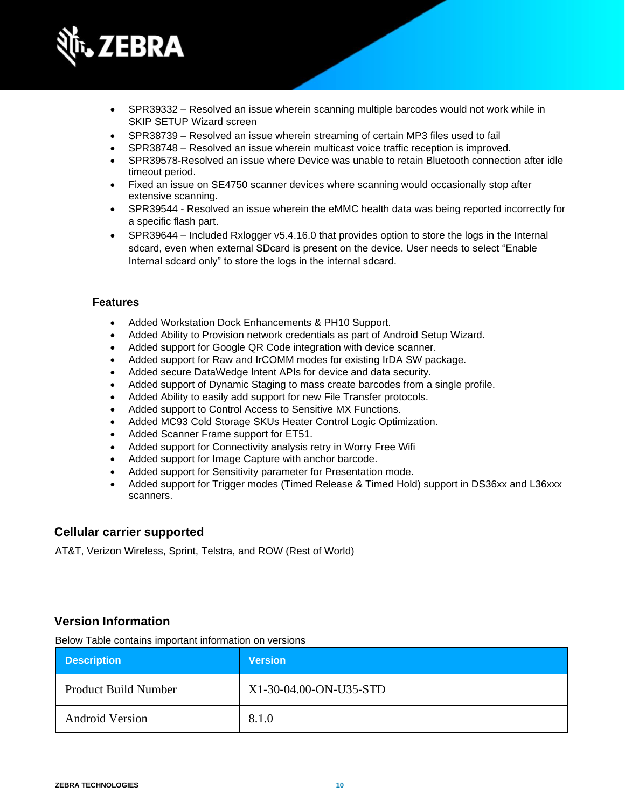

- SPR39332 Resolved an issue wherein scanning multiple barcodes would not work while in SKIP SETUP Wizard screen
- SPR38739 Resolved an issue wherein streaming of certain MP3 files used to fail
- SPR38748 Resolved an issue wherein multicast voice traffic reception is improved.
- SPR39578-Resolved an issue where Device was unable to retain Bluetooth connection after idle timeout period.
- Fixed an issue on SE4750 scanner devices where scanning would occasionally stop after extensive scanning.
- SPR39544 Resolved an issue wherein the eMMC health data was being reported incorrectly for a specific flash part.
- SPR39644 Included Rxlogger v5.4.16.0 that provides option to store the logs in the Internal sdcard, even when external SDcard is present on the device. User needs to select "Enable Internal sdcard only" to store the logs in the internal sdcard.

- Added Workstation Dock Enhancements & PH10 Support.
- Added Ability to Provision network credentials as part of Android Setup Wizard.
- Added support for Google QR Code integration with device scanner.
- Added support for Raw and IrCOMM modes for existing IrDA SW package.
- Added secure DataWedge Intent APIs for device and data security.
- Added support of Dynamic Staging to mass create barcodes from a single profile.
- Added Ability to easily add support for new File Transfer protocols.
- Added support to Control Access to Sensitive MX Functions.
- Added MC93 Cold Storage SKUs Heater Control Logic Optimization.
- Added Scanner Frame support for ET51.
- Added support for Connectivity analysis retry in Worry Free Wifi
- Added support for Image Capture with anchor barcode.
- Added support for Sensitivity parameter for Presentation mode.
- Added support for Trigger modes (Timed Release & Timed Hold) support in DS36xx and L36xxx scanners.

#### **Cellular carrier supported**

AT&T, Verizon Wireless, Sprint, Telstra, and ROW (Rest of World)

### **Version Information**

Below Table contains important information on versions

| <b>Description</b>          | <b>Version</b>         |
|-----------------------------|------------------------|
| <b>Product Build Number</b> | X1-30-04.00-ON-U35-STD |
| <b>Android Version</b>      | 8.1.0                  |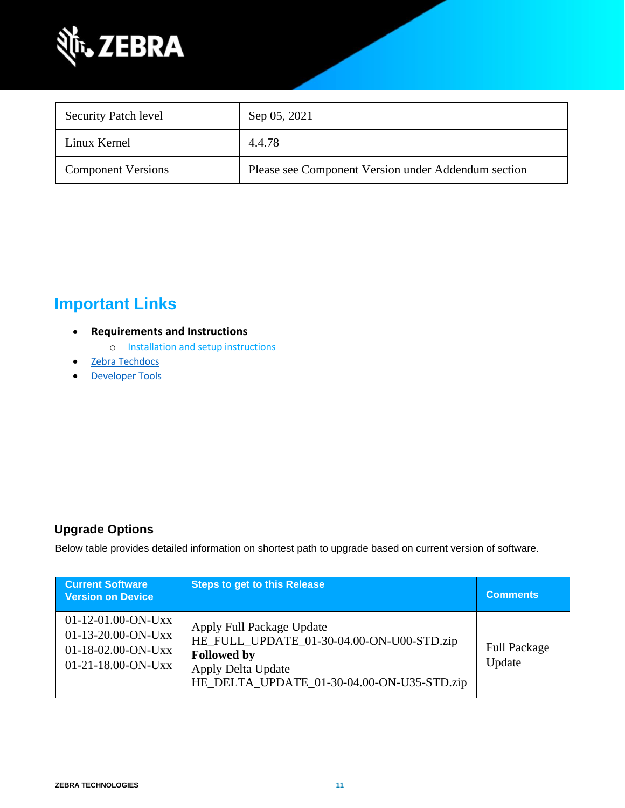

| <b>Security Patch level</b> | Sep 05, 2021                                        |
|-----------------------------|-----------------------------------------------------|
| Linux Kernel                | 4.4.78                                              |
| <b>Component Versions</b>   | Please see Component Version under Addendum section |

## **Important Links**

- **Requirements and Instructions** 
	- o [Installation and setup instructions](https://www.zebra.com/content/dam/zebra_new_ia/en-us/software/operating-system/helios/oreo-os-update-instructions.pdf)
- [Zebra Techdocs](https://techdocs.zebra.com/)
- <span id="page-10-0"></span>• [Developer Tools](https://developer.zebra.com/)

### **Upgrade Options**

Below table provides detailed information on shortest path to upgrade based on current version of software.

| <b>Current Software</b><br><b>Version on Device</b>                                  | <b>Steps to get to this Release</b>                                                                                                                                     | <b>Comments</b>               |
|--------------------------------------------------------------------------------------|-------------------------------------------------------------------------------------------------------------------------------------------------------------------------|-------------------------------|
| 01-12-01.00-ON-Uxx<br>01-13-20.00-ON-Uxx<br>01-18-02.00-ON-Uxx<br>01-21-18.00-ON-Uxx | Apply Full Package Update<br>HE_FULL_UPDATE_01-30-04.00-ON-U00-STD.zip<br><b>Followed by</b><br><b>Apply Delta Update</b><br>HE_DELTA_UPDATE_01-30-04.00-ON-U35-STD.zip | <b>Full Package</b><br>Update |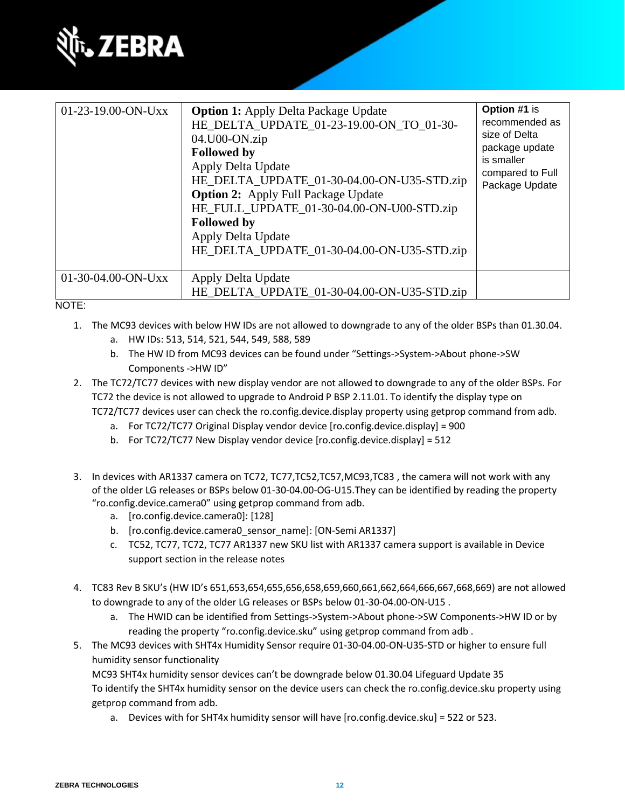

| 01-23-19.00-ON-Uxx | <b>Option 1:</b> Apply Delta Package Update<br>HE_DELTA_UPDATE_01-23-19.00-ON_TO_01-30-<br>$04.U00-ON_z$ ip<br><b>Followed by</b><br>Apply Delta Update<br>HE_DELTA_UPDATE_01-30-04.00-ON-U35-STD.zip<br><b>Option 2:</b> Apply Full Package Update<br>HE_FULL_UPDATE_01-30-04.00-ON-U00-STD.zip<br><b>Followed by</b><br>Apply Delta Update<br>HE_DELTA_UPDATE_01-30-04.00-ON-U35-STD.zip | Option #1 is<br>recommended as<br>size of Delta<br>package update<br>is smaller<br>compared to Full<br>Package Update |
|--------------------|--------------------------------------------------------------------------------------------------------------------------------------------------------------------------------------------------------------------------------------------------------------------------------------------------------------------------------------------------------------------------------------------|-----------------------------------------------------------------------------------------------------------------------|
| 01-30-04.00-ON-Uxx | Apply Delta Update<br>HE_DELTA_UPDATE_01-30-04.00-ON-U35-STD.zip                                                                                                                                                                                                                                                                                                                           |                                                                                                                       |

#### NOTE:

- 1. The MC93 devices with below HW IDs are not allowed to downgrade to any of the older BSPs than 01.30.04.
	- a. HW IDs: 513, 514, 521, 544, 549, 588, 589
	- b. The HW ID from MC93 devices can be found under "Settings->System->About phone->SW Components ->HW ID"
- 2. The TC72/TC77 devices with new display vendor are not allowed to downgrade to any of the older BSPs. For TC72 the device is not allowed to upgrade to Android P BSP 2.11.01. To identify the display type on TC72/TC77 devices user can check the ro.config.device.display property using getprop command from adb.
	- a. For TC72/TC77 Original Display vendor device [ro.config.device.display] = 900
	- b. For TC72/TC77 New Display vendor device [ro.config.device.display] = 512
- 3. In devices with AR1337 camera on TC72, TC77,TC52,TC57,MC93,TC83 , the camera will not work with any of the older LG releases or BSPs below 01-30-04.00-OG-U15.They can be identified by reading the property "ro.config.device.camera0" using getprop command from adb.
	- a. [ro.config.device.camera0]: [128]
	- b. [ro.config.device.camera0\_sensor\_name]: [ON-Semi AR1337]
	- c. TC52, TC77, TC72, TC77 AR1337 new SKU list with AR1337 camera support is available in Device support section in the release notes
- 4. TC83 Rev B SKU's (HW ID's 651,653,654,655,656,658,659,660,661,662,664,666,667,668,669) are not allowed to downgrade to any of the older LG releases or BSPs below 01-30-04.00-ON-U15 .
	- a. The HWID can be identified from Settings->System->About phone->SW Components->HW ID or by reading the property "ro.config.device.sku" using getprop command from adb .
- 5. The MC93 devices with SHT4x Humidity Sensor require 01-30-04.00-ON-U35-STD or higher to ensure full humidity sensor functionality

MC93 SHT4x humidity sensor devices can't be downgrade below 01.30.04 Lifeguard Update 35 To identify the SHT4x humidity sensor on the device users can check the ro.config.device.sku property using getprop command from adb.

a. Devices with for SHT4x humidity sensor will have [ro.config.device.sku] = 522 or 523.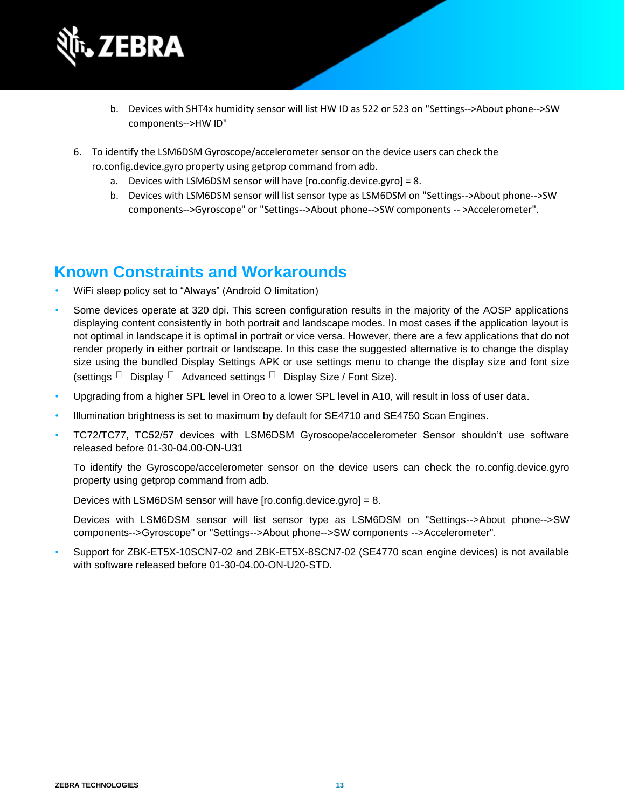

- b. Devices with SHT4x humidity sensor will list HW ID as 522 or 523 on "Settings-->About phone-->SW components-->HW ID"
- 6. To identify the LSM6DSM Gyroscope/accelerometer sensor on the device users can check the ro.config.device.gyro property using getprop command from adb.
	- a. Devices with LSM6DSM sensor will have [ro.config.device.gyro] = 8.
	- b. Devices with LSM6DSM sensor will list sensor type as LSM6DSM on "Settings-->About phone-->SW components-->Gyroscope" or "Settings-->About phone-->SW components -- >Accelerometer".

## **Known Constraints and Workarounds**

- WiFi sleep policy set to "Always" (Android O limitation)
- Some devices operate at 320 dpi. This screen configuration results in the majority of the AOSP applications displaying content consistently in both portrait and landscape modes. In most cases if the application layout is not optimal in landscape it is optimal in portrait or vice versa. However, there are a few applications that do not render properly in either portrait or landscape. In this case the suggested alternative is to change the display size using the bundled Display Settings APK or use settings menu to change the display size and font size (settings  $\Box$  Display  $\Box$  Advanced settings  $\Box$  Display Size / Font Size).
- Upgrading from a higher SPL level in Oreo to a lower SPL level in A10, will result in loss of user data.
- Illumination brightness is set to maximum by default for SE4710 and SE4750 Scan Engines.
- TC72/TC77, TC52/57 devices with LSM6DSM Gyroscope/accelerometer Sensor shouldn't use software released before 01-30-04.00-ON-U31

To identify the Gyroscope/accelerometer sensor on the device users can check the ro.config.device.gyro property using getprop command from adb.

Devices with LSM6DSM sensor will have [ro.config.device.gyro] = 8.

Devices with LSM6DSM sensor will list sensor type as LSM6DSM on "Settings-->About phone-->SW components-->Gyroscope" or "Settings-->About phone-->SW components -->Accelerometer".

• Support for ZBK-ET5X-10SCN7-02 and ZBK-ET5X-8SCN7-02 (SE4770 scan engine devices) is not available with software released before 01-30-04.00-ON-U20-STD.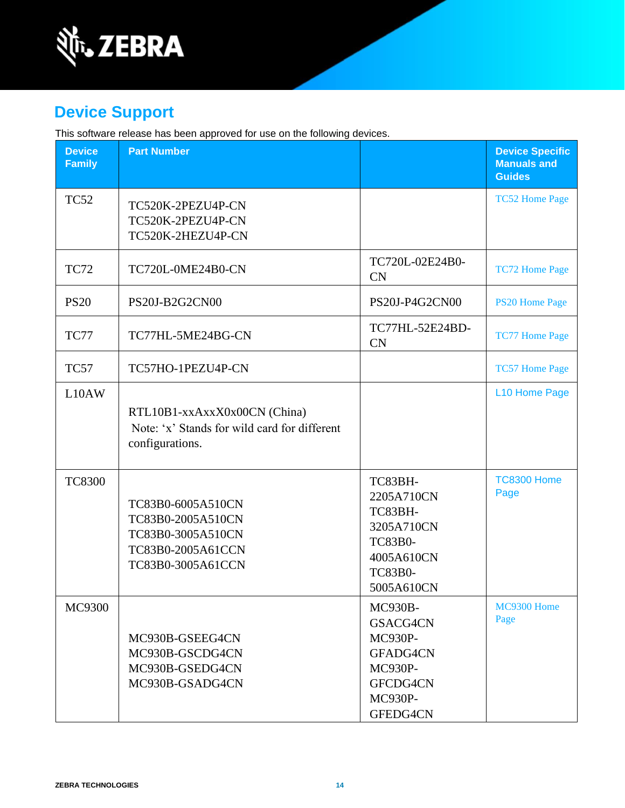

## **Device Support**

This software release has been approved for use on the following devices.

| <b>Device</b><br><b>Family</b> | <b>Part Number</b>                                                                                    |                                                                                                                | <b>Device Specific</b><br><b>Manuals and</b><br><b>Guides</b> |
|--------------------------------|-------------------------------------------------------------------------------------------------------|----------------------------------------------------------------------------------------------------------------|---------------------------------------------------------------|
| <b>TC52</b>                    | TC520K-2PEZU4P-CN<br>TC520K-2PEZU4P-CN<br>TC520K-2HEZU4P-CN                                           |                                                                                                                | <b>TC52 Home Page</b>                                         |
| <b>TC72</b>                    | TC720L-0ME24B0-CN                                                                                     | TC720L-02E24B0-<br><b>CN</b>                                                                                   | <b>TC72 Home Page</b>                                         |
| <b>PS20</b>                    | PS20J-B2G2CN00                                                                                        | PS20J-P4G2CN00                                                                                                 | <b>PS20 Home Page</b>                                         |
| TC77                           | TC77HL-5ME24BG-CN                                                                                     | TC77HL-52E24BD-<br><b>CN</b>                                                                                   | <b>TC77 Home Page</b>                                         |
| TC57                           | TC57HO-1PEZU4P-CN                                                                                     |                                                                                                                | <b>TC57 Home Page</b>                                         |
| L10AW                          | RTL10B1-xxAxxX0x00CN (China)<br>Note: 'x' Stands for wild card for different<br>configurations.       |                                                                                                                | L10 Home Page                                                 |
| <b>TC8300</b>                  | TC83B0-6005A510CN<br>TC83B0-2005A510CN<br>TC83B0-3005A510CN<br>TC83B0-2005A61CCN<br>TC83B0-3005A61CCN | TC83BH-<br>2205A710CN<br>TC83BH-<br>3205A710CN<br><b>TC83B0-</b><br>4005A610CN<br><b>TC83B0-</b><br>5005A610CN | <b>TC8300 Home</b><br>Page                                    |
| MC9300                         | MC930B-GSEEG4CN<br>MC930B-GSCDG4CN<br>MC930B-GSEDG4CN<br>MC930B-GSADG4CN                              | <b>MC930B-</b><br>GSACG4CN<br>MC930P-<br>GFADG4CN<br><b>MC930P-</b><br>GFCDG4CN<br>MC930P-<br>GFEDG4CN         | MC9300 Home<br>Page                                           |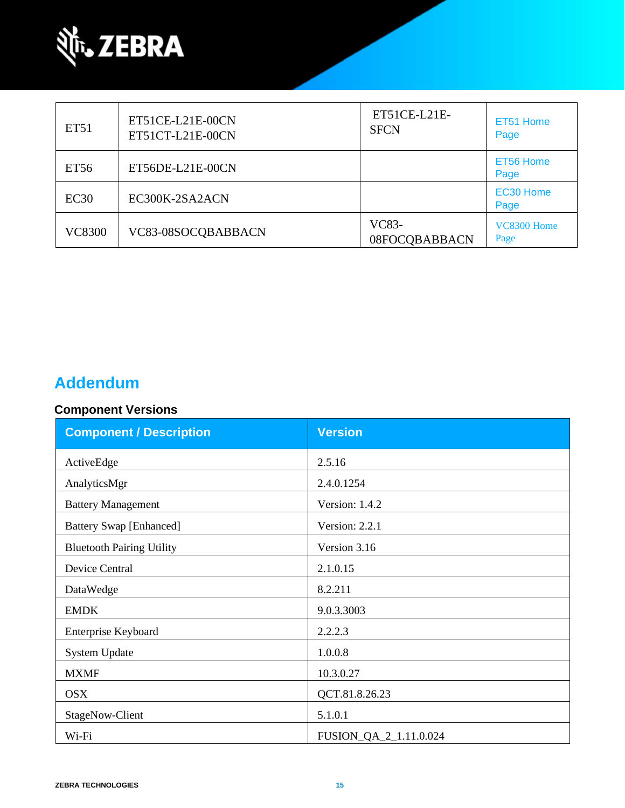

| ET51             | ET51CE-L21E-00CN<br>ET51CT-L21E-00CN | ET51CE-L21E-<br><b>SFCN</b> | ET51 Home<br>Page   |
|------------------|--------------------------------------|-----------------------------|---------------------|
| ET <sub>56</sub> | ET56DE-L21E-00CN                     |                             | ET56 Home<br>Page   |
| EC30             | EC300K-2SA2ACN                       |                             | EC30 Home<br>Page   |
| <b>VC8300</b>    | VC83-08SOCQBABBACN                   | VC83-<br>08FOCQBABBACN      | VC8300 Home<br>Page |

## **Addendum**

### **Component Versions**

| <b>Component / Description</b>   | <b>Version</b>         |
|----------------------------------|------------------------|
| ActiveEdge                       | 2.5.16                 |
| AnalyticsMgr                     | 2.4.0.1254             |
| <b>Battery Management</b>        | Version: 1.4.2         |
| <b>Battery Swap [Enhanced]</b>   | Version: 2.2.1         |
| <b>Bluetooth Pairing Utility</b> | Version 3.16           |
| Device Central                   | 2.1.0.15               |
| DataWedge                        | 8.2.211                |
| <b>EMDK</b>                      | 9.0.3.3003             |
| Enterprise Keyboard              | 2.2.2.3                |
| <b>System Update</b>             | 1.0.0.8                |
| <b>MXMF</b>                      | 10.3.0.27              |
| <b>OSX</b>                       | QCT.81.8.26.23         |
| StageNow-Client                  | 5.1.0.1                |
| Wi-Fi                            | FUSION_QA_2_1.11.0.024 |